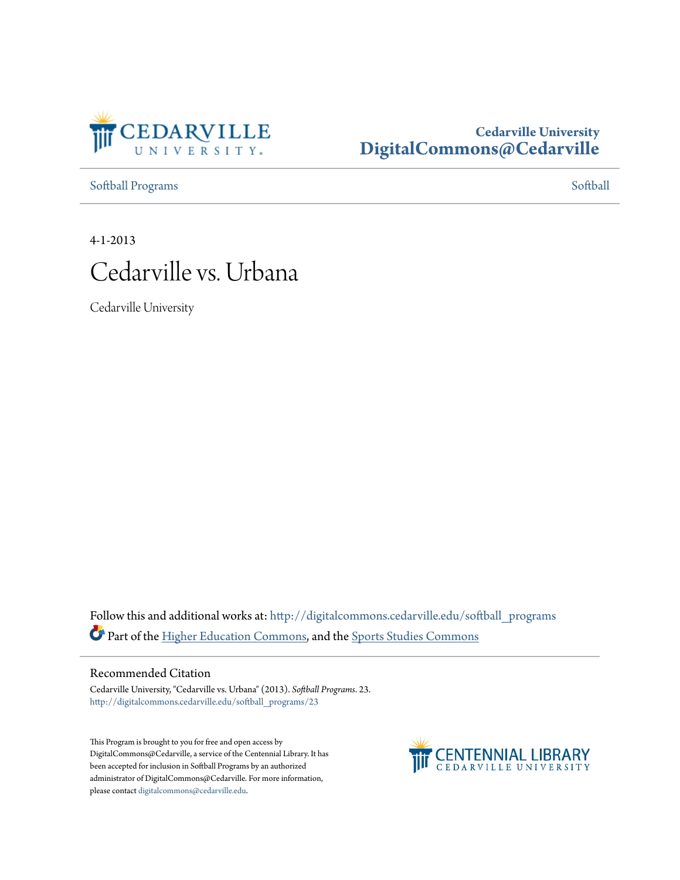

### **Cedarville University [DigitalCommons@Cedarville](http://digitalcommons.cedarville.edu?utm_source=digitalcommons.cedarville.edu%2Fsoftball_programs%2F23&utm_medium=PDF&utm_campaign=PDFCoverPages)**

[Softball Programs](http://digitalcommons.cedarville.edu/softball_programs?utm_source=digitalcommons.cedarville.edu%2Fsoftball_programs%2F23&utm_medium=PDF&utm_campaign=PDFCoverPages) [Softball](http://digitalcommons.cedarville.edu/softball?utm_source=digitalcommons.cedarville.edu%2Fsoftball_programs%2F23&utm_medium=PDF&utm_campaign=PDFCoverPages) Programs Softball Programs Softball Programs Softball Softball Softball Softball Softball Softball Softball Softball Softball Softball Softball Softball Softball Softball Softball Softball Softba

4-1-2013



Cedarville University

Follow this and additional works at: [http://digitalcommons.cedarville.edu/softball\\_programs](http://digitalcommons.cedarville.edu/softball_programs?utm_source=digitalcommons.cedarville.edu%2Fsoftball_programs%2F23&utm_medium=PDF&utm_campaign=PDFCoverPages) Part of the [Higher Education Commons](http://network.bepress.com/hgg/discipline/1245?utm_source=digitalcommons.cedarville.edu%2Fsoftball_programs%2F23&utm_medium=PDF&utm_campaign=PDFCoverPages), and the [Sports Studies Commons](http://network.bepress.com/hgg/discipline/1198?utm_source=digitalcommons.cedarville.edu%2Fsoftball_programs%2F23&utm_medium=PDF&utm_campaign=PDFCoverPages)

### Recommended Citation

Cedarville University, "Cedarville vs. Urbana" (2013). *Softball Programs*. 23. [http://digitalcommons.cedarville.edu/softball\\_programs/23](http://digitalcommons.cedarville.edu/softball_programs/23?utm_source=digitalcommons.cedarville.edu%2Fsoftball_programs%2F23&utm_medium=PDF&utm_campaign=PDFCoverPages)

This Program is brought to you for free and open access by DigitalCommons@Cedarville, a service of the Centennial Library. It has been accepted for inclusion in Softball Programs by an authorized administrator of DigitalCommons@Cedarville. For more information, please contact [digitalcommons@cedarville.edu.](mailto:digitalcommons@cedarville.edu)

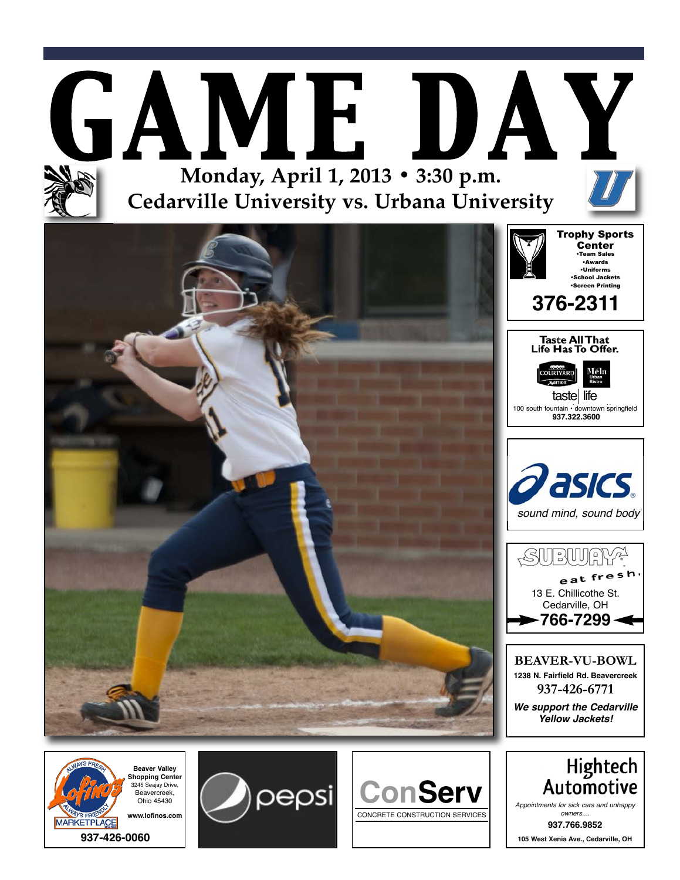









**937.766.9852 105 West Xenia Ave., Cedarville, OH**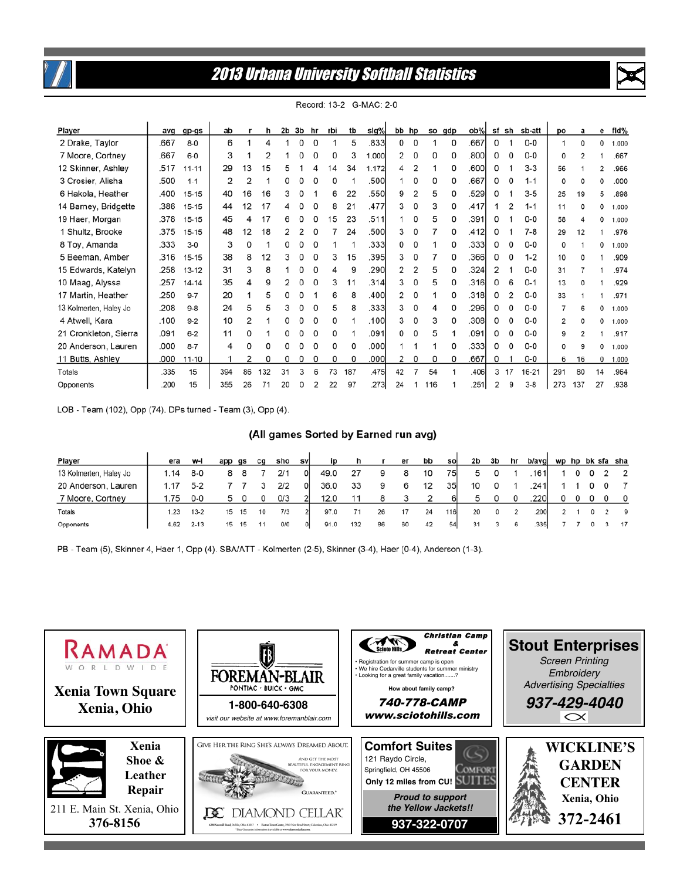

# **2013 Urbana University Softball Statistics**



| Player                 | avq  | gp-gs     | ab  |    | h   | 2b | 3b | hr | rbi | tb  | sig%  |    | bb hp |     | so gdp | ob%   | sf | sh | sb-att  | po             | a            | е  | fid%  |
|------------------------|------|-----------|-----|----|-----|----|----|----|-----|-----|-------|----|-------|-----|--------|-------|----|----|---------|----------------|--------------|----|-------|
| 2 Drake, Taylor        | .667 | $8 - 0$   | 6   |    | 4   |    | 0  | 0  |     | 5   | .833  | 0  | 0     |     | 0      | .667  | 0  |    | $0-0$   | 1              | 0            | 0  | 1.000 |
| 7 Moore, Cortney       | .667 | $6-0$     | 3   |    |     |    |    | 0  | 0   | 3   | 000.1 | 2  | 0     | 0   | 0      | .8001 | 0  |    | $0-0$   | 0              |              |    | .667  |
| 12 Skinner, Ashley     | .517 | $11 - 11$ | 29  | 13 | 15  |    |    |    | 4   | 34  | 1.172 | 4  | 2     |     | 0      | .600  | 0  |    | $3 - 3$ | 56             |              | 2  | .966  |
| 3 Crosier, Alisha      | .500 | $1 - 1$   | 2   | 2  |     |    |    |    | o   |     | .500  |    | 0     | 0   |        | .667  | 0  |    | $1 - 1$ | 0              |              | 0  | .000  |
| 6 Hakola, Heather      | .400 | $15 - 15$ | 40  | 16 | 16  |    |    |    | 6   | 22  | .550  | 9  | 2     | 5   | 0      | .529  | 0  |    | $3 - 5$ | 25             | 19           | 5  | .898  |
| 14 Barney, Bridgette   | .386 | 15-15     | 44  | 12 | 17  | 4  | 0  | n  | 8   | 21  | .477  | 3  | 0     | 3   | O      | .417  |    |    | $1 - 1$ | 11             | <sup>0</sup> | 0  | 1,000 |
| 19 Haer, Morgan        | .378 | 15-15     | 45  |    | 17  | 6  | O  | 0  | 15  | 23  | .511  |    | 0     | 5   | 0      | .391  | O  |    | $0-0$   | 58             |              | 0  | 1.000 |
| 1 Shultz, Brooke       | .375 | 15-15     | 48  | 12 | 18  |    |    |    |     | 24  | .500  | 3  | 0     |     |        | .412  | Ω  |    | $7-8$   | 29             | 12           |    | .976  |
| 8 Toy, Amanda          | .333 | $3-0$     | 3   | 0  |     | 0  | 0  | 0  |     |     | .333  | 0  | 0     |     | 0      | .3331 | 0  |    | $0-0$   | 0              |              | 0  | 1.000 |
| 5 Beeman, Amber        | .316 | 15-15     | 38  | 8  | 12  | 3  | 0  | O  | 3   | 15  | .395  | 3  | 0     |     | 0      | .366  | 0  |    | $1 - 2$ | 10             | o            |    | .909  |
| 15 Edwards, Katelyn    | .258 | $13 - 12$ | 31  | 3  | 8   |    | 0  | 0  | 4   | 9   | .290  | 2  | 2     | 5   | 0      | .324  | 2  |    | $0-0$   | 31             |              |    | .974  |
| 10 Maag, Alyssa        | .257 | 14-14     | 35  | Δ  | Q   |    |    | n  | 3   | 11  | .314  | 3  | 0     | 5   |        | .316  | 0  | 6  | $0 - 1$ | 13             |              |    | .929  |
| 17 Martin, Heather     | .250 | $9 - 7$   | 20  |    | 5   | O  | O  |    | 6   | 8   | .400  | 2  | 0     |     | O      | .318  | O  |    | $0-0$   | 33             |              |    | .971  |
| 13 Kolmerten, Haley Jo | .208 | $9 - 8$   | 24  | 5  | 5   | 3  | 0  | 0  | 5   | 8   | .333  | 3  | 0     | 4   | 0      | .296  | 0  |    | $0-0$   | 7              | 6            | 0  | 1.000 |
| 4 Atwell, Kara         | .100 | $9 - 2$   | 10  | 2  |     | ٥  | 0  | 0  | 0   |     | .100  | 3  | 0     | 3   |        | .308  | 0  |    | $0-0$   | $\overline{c}$ | O            | 0  | 1.000 |
| 21 Cronkleton, Sierra  | .091 | $6 - 2$   | 11  |    |     |    |    | 0  | 0   |     | .091  | 0  | 0     | 5   |        | .091  | 0  |    | $0-0$   | 9              |              |    | .917  |
| 20 Anderson, Lauren    | .000 | $8 - 7$   | 4   |    |     |    |    |    | 0   | 0   | .000  |    |       |     | 0      | .3331 | 0  |    | $0-0$   | 0              | 9            | 0  | 1.000 |
| 11 Butts, Ashley       | .000 | $11 - 10$ |     | 2  | 0   | 0  | 0  | 0  | 0   | 0   | .000  | 2  | 0     | 0   | 0      | .667  | 0  |    | $0-0$   | 6              | 16           | 0  | 1.000 |
| Totals                 | .335 | 15        | 394 | 86 | 132 | 31 | 3  | 6  | 73  | 187 | .475  | 42 | 7     | 54  |        | .406  | з  | 17 | 16-21   | 291            | 80           | 14 | .964  |
| Opponents              | .200 | 15        | 355 | 26 |     |    |    |    | 22  | 97  | 273   | 24 |       | 116 |        | .251  |    | g  | $3 - 8$ | 273            | 137          | 27 | .938  |

Record: 13-2 G-MAC: 2-0

LOB - Team (102), Opp (74). DPs turned - Team (3), Opp (4).

#### (All games Sorted by Earned run avg)

| Player                 | era  | w-l      | app qs |    | ca | sho | svl | ip   |     |    | er | bb | sol | 2b | 3b | hr | b/avgl |  |  | wp hp bk sfa sha |
|------------------------|------|----------|--------|----|----|-----|-----|------|-----|----|----|----|-----|----|----|----|--------|--|--|------------------|
| 13 Kolmerten, Haley Jo | 1.14 | 8-0      |        |    |    | 2/1 |     | 49.0 |     |    |    | 10 | 75I | 5  |    |    | 1611   |  |  | 2                |
| 20 Anderson, Lauren    | 1.17 | $5 - 2$  |        |    |    | 2/2 | ΟI  | 36.0 | 33  | 9  |    | 12 | 35  | 10 |    |    | 241    |  |  |                  |
| 7 Moore, Cortney       | .75  | $0-0$    | 5      |    |    | 0/3 |     | 12.0 |     |    |    |    | 61  | 5  |    | 0  | 220    |  |  | $\circ$          |
| Totals                 | 1.23 | $13 - 2$ | 15     | 15 | 10 | 7/3 |     | 97.0 |     | 26 |    | 24 | 116 | 20 | 0  |    | 200    |  |  | - 9              |
| Opponents              | 4.62 | $2 - 13$ | 15     |    |    | O/O |     | 91.0 | 132 | 86 | 60 | 42 | 54  | 31 |    |    | 335    |  |  | 17               |

PB - Team (5), Skinner 4, Haer 1, Opp (4). SBA/ATT - Kolmerten (2-5), Skinner (3-4), Haer (0-4), Anderson (1-3).

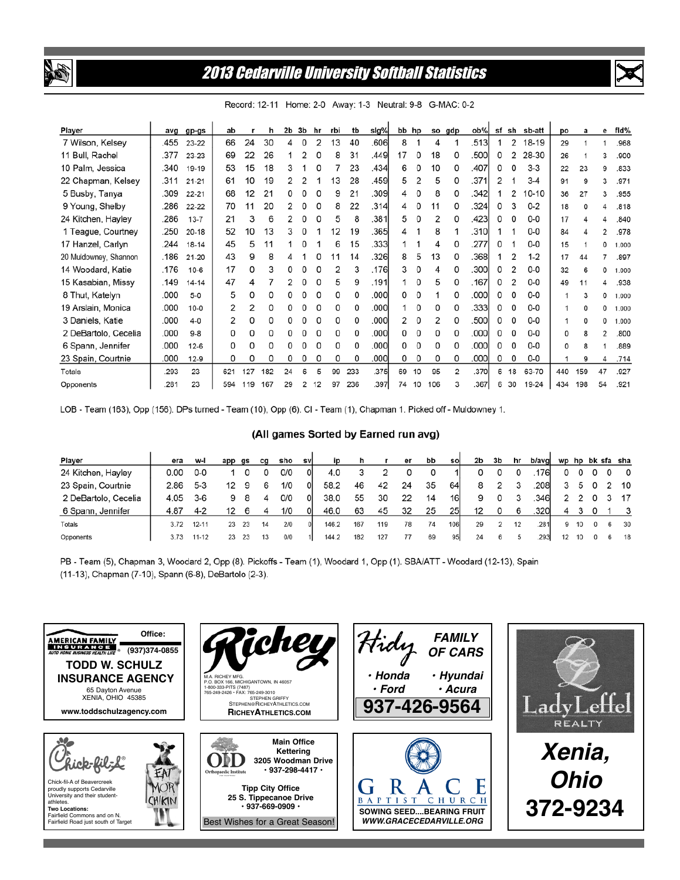

## **2013 Cedarville University Softball Statistics**



slg% fld% 3b hr tb bb hp ob% sf sh sb-att Player avg  $gp-gs$ ab r  $\mathbf{h}$  $2<sub>b</sub>$ rbi so gdp po a e  $\overline{2}$ 7 Wilson, Kelsey .455 66 24 30  $\overline{4}$  $\Omega$  $\mathcal{D}$  $13$ 40 .606 8  $\overline{4}$ .513  $\mathbf{1}$ 18-19 23-22  $\mathbf{1}$  $\overline{1}$ 29  $\mathbf{1}$  $\mathbf{1}$ 968 11 Bull, Rachel .377 23-23 69 22 26  $\overline{1}$  $\overline{2}$  $\mathbf 0$ 8  $31$ .449 17  $\mathbf 0$ 18  $\mathbf 0$ .500 0  $\overline{2}$ 28-30 26  $\overline{1}$  $\overline{3}$ 900 10 Palm. Jessica 340  $19-19$ 53 15 18 3  $\mathbf{1}$  $\Omega$  $\overline{7}$ 23 434 6  $\Omega$ 10  $\mathbf 0$ 407  $\mathbf 0$  $\mathbf 0$  $3 - 3$  $\mathbf{Q}$  $22$  $23$ 833 22 Chapman, Kelsey 10  $\mathcal{L}$  $\mathfrak{D}$  $\mathbf{1}$ 13  $28$ .459 5  $\overline{2}$ 5  $\Omega$ .371  $\overline{2}$  $\overline{1}$  $.311$  $21 - 21$ 61 19  $3-4$ 91 9  $\overline{3}$ 971 5 Busby, Tanya .309 68  $12$  $21$ 0  $\mathbf 0$  $\mathbf 0$ 9  $21$ .309  $\overline{\mathbf{4}}$  $\mathbf 0$ 8  $\mathbf 0$  $.342$  $\mathbf{1}$  $\overline{2}$  $10-10$  $22 - 21$ 36  $27$  $\overline{3}$ 955 8 9 Young, Shelby .286 70  $11$ 20  $\overline{2}$  $\mathbf 0$  $\mathbf 0$ 22  $.314$  $\overline{\mathbf{4}}$  $\mathbf 0$  $11$  $\mathbf 0$  $.324$  $\mathsf{O}$ 3  $0 - 2$ 22-22 18  $\Omega$  $\overline{4}$ 818 .381 3  $\mathbf 0$ 5  $\mathbf{a}$  $\mathbf 0$  $.423$  $\mathbf 0$  $\mathbf 0$ 24 Kitchen, Hayley 286  $21$  $\mathbf{a}$  $\mathcal{P}$  $\Omega$ 5  $\overline{\mathbf{c}}$  $\Omega$  $0 - 0$  $13 - 7$ 17  $\overline{\mathbf{4}}$  $\overline{4}$ .840 1 Teague, Courtney .250 52 10 13 3 0  $\mathbf{1}$  $12$ 19 .365 4  $\mathbf{1}$ 8  $\mathbf{1}$  $.310$  $\mathbf{1}$  $\mathbf{1}$  $0-0$  $20 - 18$ 84  $\overline{4}$  $\overline{2}$ .978 17 Hanzel, Carlyn .244 45 5  $\pmb{0}$  $\mathbf{1}$ 6 15 .333  $\mathbf{1}$ 4  $\mathsf 0$  $.277$ 0  $\mathbf{1}$  $0-0$  $18 - 14$  $11$ 1  $\mathbf{1}$ 15  $\mathbf 0$ 1 1.000  $368$ 20 Muldowney, Shannon .186  $21 - 20$ 43 9  $\mathsf{R}$  $\boldsymbol{\varDelta}$  $\mathbf{1}$ 0 11 14 .326 8 5 13  $\mathbf 0$  $\mathbf{1}$  $\overline{2}$  $1 - 2$ 17  $44$  $\overline{7}$ .897 14 Woodard, Katie .176  $10-6$  $17$ 0 3 0  $\mathbf 0$ 0  $\overline{2}$ 3 .176 3 0 4 0 .300 0  $\overline{2}$  $0-0$ 32 6  $\mathbf 0$ 1.000  $\overline{2}$ 15 Kasabian, Missy .149  $14 - 14$ 47  $\overline{\mathbf{4}}$  $\overline{7}$  $\overline{2}$  $\bf{0}$  $\Omega$ 5 9 .191  $\mathbf{1}$  $\overline{0}$ 5  $\mathbf 0$ .167  $\mathbf 0$  $0-0$ 49  $11$ 4 938 8 Thut, Katelyn .000  $5-0$ 5  $\Omega$  $\Omega$  $\Omega$  $\Omega$  $\Omega$  $\Omega$  $\Omega$ .000 0  $\Omega$  $\overline{1}$  $\Omega$  $.000<sub>1</sub>$  $\Omega$  $\mathbf 0$  $0 - 0$  $\overline{1}$  $\mathbf{3}$  $\Omega$ 1.000 19 Arslain, Monica .000  $10 - 0$  $\overline{2}$  $\overline{2}$  $\Omega$  $\Omega$  $\pmb{0}$  $\Omega$  $\mathbf 0$  $\pmb{0}$ .000  $\mathbf{1}$  $\mathbf 0$ 0  $\Omega$ .333  $\mathsf 0$  $\pmb{0}$  $0-0$  $\overline{1}$  $\Omega$  $\Omega$ 1.000 3 Daniels, Katie .000  $4 - 0$  $\overline{2}$ 0  $\mathbf 0$  $\Omega$  $\mathbf 0$  $\mathbf 0$  $\mathbf 0$  $\mathbf 0$ .000  $\overline{2}$  $\mathbf 0$  $\overline{2}$ 0 .500 0  $\mathbf 0$  $0-0$  $\mathbf 0$  $\mathbf 0$  $\mathbf{1}$ 1.000 2 DeBartolo, Cecelia  $000$  $\mathbf 0$  $\mathbf 0$  $\Omega$  $\Omega$  $\pmb{0}$  $\mathbf 0$  $\mathbf 0$  $\Omega$ 000 0  $\mathbf 0$  $\Omega$ 0  $.000$  $\Omega$  $\Omega$  $0 - 0$  $Q_R$ 0  $\mathbf{a}$  $\overline{2}$ 800 6 Spann, Jennifer  $.000$  $\pmb{0}$ 0  $\mathsf 0$  $\pmb{0}$  $\pmb{0}$ 0 0 0 .000 0  $\mathsf 0$ 0 0  $.000$ 0  $\pmb{0}$  $0-0$ 8  $12-6$ 0 1 .889 23 Spain, Courtnie .000  $\mathbf 0$ 0  $\mathbf 0$  $\Omega$  $\mathbf 0$  $\mathbf 0$  $\mathbf 0$  $\mathbf 0$ .000  $\Omega$  $\mathbf 0$ 0  $\Omega$  $000$ 0 0  $0-0$ Q  $12-9$ 714  $\overline{1}$  $\Delta$ 5  $\overline{2}$ 6 Totals 293 23 621 127 182 24 6 99 233 375 69 10 95  $.370$ 18 63-70 440 159 47 927  $.281$ 23 29  $\mathbf 2$  $12$ .397 74  $10$ 106  $.367$ 6 30 Opponents 594 119 167 97 236 3 19-24 434 198 54 .921

Record: 12-11 Home: 2-0 Away: 1-3 Neutral: 9-8 G-MAC: 0-2

LOB - Team (163), Opp (156). DPs turned - Team (10), Opp (6). CI - Team (1), Chapman 1. Picked off - Muldowney 1.

#### (All games Sorted by Earned run avg)

| Player               | era  | w-l       | app | as | ca | sho | svl |       |     |     | er | bb | sol        | 2b | 3b | hr | b/avg |    |       |            |   | wp hp bk sfa sha        |
|----------------------|------|-----------|-----|----|----|-----|-----|-------|-----|-----|----|----|------------|----|----|----|-------|----|-------|------------|---|-------------------------|
| 24 Kitchen, Hayley   | 0.00 | 0-C       |     |    |    | 0/0 | ΟI  | 4.0   |     |     |    |    |            |    |    |    | 1761  | 0  |       |            |   | $\overline{\mathbf{0}}$ |
| 23 Spain, Courtnie   | 2.86 | $5 - 3$   |     | 9  | 6  | 1/0 |     | 58.2  | 46  | 42  | 24 | 35 | 64         |    |    |    | .208  | 3  | 5     |            |   | 2 10                    |
| 2 DeBartolo, Cecelia | 4.05 | $3-6$     |     |    | 4  | 0/0 |     | 38.0  | 55  | 30  | 22 | 14 | 161        | 9  |    |    | 346   |    | 2 2 0 |            |   | - 17                    |
| 6 Spann, Jennifer    | 4.87 | $4 - 2$   |     |    |    | 1/0 |     | 46.0  | 63  | 45  | 32 | 25 | 25         | 12 |    | 6  | .3201 |    |       |            |   |                         |
| Totals               | 3.72 | $12 - 11$ | 23  | 23 | 14 | 2/0 |     | 146.2 | 167 | 119 | 78 | 74 | <b>106</b> | 29 |    | 12 | .281  | 9  | 10    | $^{\circ}$ | 6 | 30                      |
| Opponents            | 3.73 | $11 - 12$ | 23  | 23 | 13 | 0/0 |     | 144.2 | 182 | 127 |    | 69 | 95         | 24 | 6  |    | .293  | 12 |       |            |   | 18                      |

PB - Team (5), Chapman 3, Woodard 2, Opp (8). Pickoffs - Team (1), Woodard 1, Opp (1). SBA/ATT - Woodard (12-13), Spain (11-13), Chapman (7-10), Spann (6-8), DeBartolo (2-3).